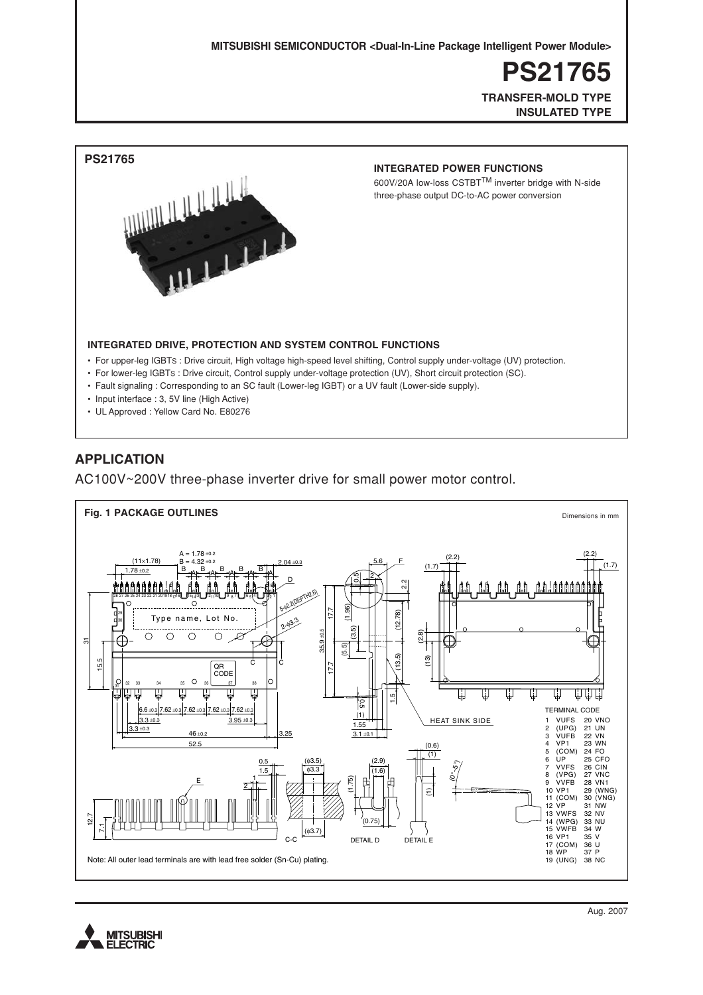**MITSUBISHI SEMICONDUCTOR <Dual-In-Line Package Intelligent Power Module> MITSUBISHI SEMICONDUCTOR <Dual-In-Line Package Intelligent Power Module>**

**PS21765 PS21765**

**TRANSFER-MOLD TYPE TRANSFER-MOLD TYPE INSULATED TYPE INSULATED TYPE**



### **APPLICATION**

AC100V~200V three-phase inverter drive for small power motor control.



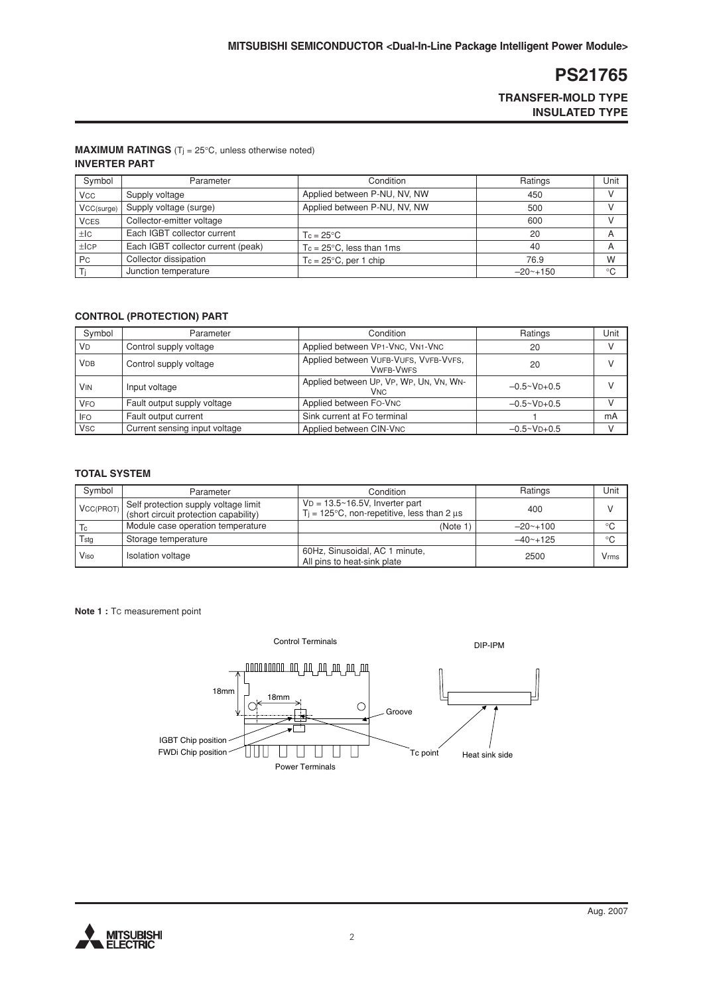**TRANSFER-MOLD TYPE INSULATED TYPE**

#### **MAXIMUM RATINGS** ( $T_j = 25^\circ \text{C}$ , unless otherwise noted) **INVERTER PART**

| Symbol                | Parameter                          | Condition                            | Ratings       | Unit          |
|-----------------------|------------------------------------|--------------------------------------|---------------|---------------|
| <b>V<sub>CC</sub></b> | Supply voltage                     | Applied between P-NU, NV, NW         | 450           | $\mathcal{U}$ |
| VCC(surge)            | Supply voltage (surge)             | Applied between P-NU, NV, NW         | 500           |               |
| <b>VCES</b>           | Collector-emitter voltage          |                                      | 600           |               |
| l ±lc                 | Each IGBT collector current        | $T_c = 25^{\circ}C$                  | 20            |               |
| $\pm$ ICP             | Each IGBT collector current (peak) | $T_c = 25^{\circ}C$ , less than 1 ms | 40            |               |
| Pc                    | Collector dissipation              | $T_c = 25^{\circ}$ C, per 1 chip     | 76.9          | W             |
|                       | Junction temperature               |                                      | $-20$ ~ + 150 | $^{\circ}C$   |

### **CONTROL (PROTECTION) PART**

| Symbol                | Parameter                     | Condition                                                        | Ratings               | Unit |
|-----------------------|-------------------------------|------------------------------------------------------------------|-----------------------|------|
| <b>VD</b>             | Control supply voltage        | Applied between VP1-VNC, VN1-VNC                                 | 20                    |      |
| <b>VDB</b>            | Control supply voltage        | Applied between VUFB-VUFS, VVFB-VVFS,<br><b>VWFB-VWFS</b>        | 20                    |      |
| <b>V<sub>IN</sub></b> | Input voltage                 | Applied between UP, VP, WP, UN, VN, WN-<br><b>V<sub>NC</sub></b> | $-0.5 \times V$ D+0.5 |      |
| <b>VFO</b>            | Fault output supply voltage   | Applied between Fo-VNC                                           | $-0.5 \times V$ D+0.5 |      |
| <b>IFO</b>            | Fault output current          | Sink current at Fo terminal                                      |                       | mA   |
| <b>V<sub>SC</sub></b> | Current sensing input voltage | Applied between CIN-VNC                                          | $-0.5 \times V$ D+0.5 |      |

### **TOTAL SYSTEM**

| Symbol           | Parameter                                                                     | Condition                                                                                       | Ratings       | Unit        |
|------------------|-------------------------------------------------------------------------------|-------------------------------------------------------------------------------------------------|---------------|-------------|
| <b>VCC(PROT)</b> | Self protection supply voltage limit<br>(short circuit protection capability) | $VD = 13.5~16.5V$ , Inverter part<br>$T_i = 125^{\circ}$ C, non-repetitive, less than 2 $\mu$ s | 400           |             |
| c                | Module case operation temperature                                             | (Note 1)                                                                                        | $-20$ ~ + 100 | $^{\circ}C$ |
| Tsta             | Storage temperature                                                           |                                                                                                 | $-40$ ~ + 125 | $^{\circ}C$ |
| Viso             | Isolation voltage                                                             | 60Hz, Sinusoidal, AC 1 minute,<br>All pins to heat-sink plate                                   | 2500          | Vrms        |

**Note 1 : Tc measurement point** 



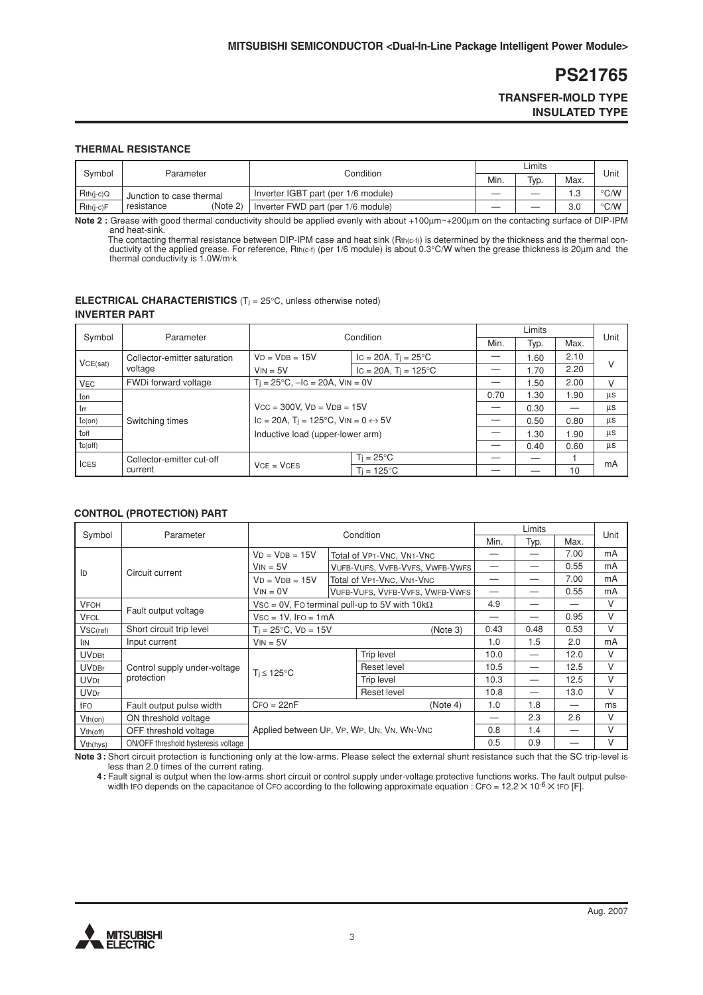### **TRANSFER-MOLD TYPE INSULATED TYPE**

#### **THERMAL RESISTANCE**

| Svmbol      |                          |                                     |      | ∟imits |              |               |
|-------------|--------------------------|-------------------------------------|------|--------|--------------|---------------|
|             | Parameter                | Condition                           | Min. | Typ.   | Max.         | Unit          |
| $Rth(i-c)Q$ | Junction to case thermal | Inverter IGBT part (per 1/6 module) |      |        | $\sim$<br>ن. | $\degree$ C/W |
| $Rth(i-c)F$ | (Note 2)<br>resistance   | Inverter FWD part (per 1/6 module)  |      |        | 3.0          | $\degree$ C/W |

**Note 2 :** Grease with good thermal conductivity should be applied evenly with about +100µm~+200µm on the contacting surface of DIP-IPM and heat-sink.

The contacting thermal resistance between DIP-IPM case and heat sink (Rth(c-f)) is determined by the thickness and the thermal con-<br>ductivity of the applied grease. For reference, Rth(c-f) (per 1/6 module) is about 0.3°C/

#### **ELECTRICAL CHARACTERISTICS** (Tj = 25°C, unless otherwise noted) **INVERTER PART**

| Symbol<br>Parameter          |                           | Condition                                                                  |                                  | Limits |      |      | Unit |  |
|------------------------------|---------------------------|----------------------------------------------------------------------------|----------------------------------|--------|------|------|------|--|
|                              |                           |                                                                            | Min.                             | Typ.   | Max. |      |      |  |
| Collector-emitter saturation |                           | $VD = VDB = 15V$                                                           | $IC = 20A$ , $T_1 = 25^{\circ}C$ |        | 1.60 | 2.10 |      |  |
| VCE(sat)                     | voltage                   | $V_{IN} = 5V$                                                              | $IC = 20A$ , $Ti = 125^{\circ}C$ |        | 1.70 | 2.20 | V    |  |
| <b>VEC</b>                   | FWDi forward voltage      | $T_i = 25^{\circ}C$ , $-IC = 20A$ , $V_{IN} = 0V$                          |                                  |        | 1.50 | 2.00 | V    |  |
| ton                          |                           |                                                                            |                                  | 0.70   | 1.30 | 1.90 | μs   |  |
| trr                          |                           | $Vcc = 300V$ , $VD = VDB = 15V$                                            |                                  |        | 0.30 | —    | μs   |  |
| $tc($ on $)$                 | Switching times           | IC = 20A, T <sub>i</sub> = 125°C, V <sub>IN</sub> = 0 $\leftrightarrow$ 5V |                                  |        | 0.50 | 0.80 | μs   |  |
| toff                         |                           |                                                                            | Inductive load (upper-lower arm) |        | 1.30 | 1.90 | μs   |  |
| $tc($ off $)$                |                           |                                                                            |                                  |        | 0.40 | 0.60 | μs   |  |
| <b>ICES</b>                  | Collector-emitter cut-off |                                                                            | $T_i = 25^{\circ}C$              |        |      |      | mA   |  |
|                              | current                   | $VCE = VCES$<br>$Ti = 125^{\circ}C$                                        |                                  |        |      | 10   |      |  |

#### **CONTROL (PROTECTION) PART**

| Symbol<br>Parameter   |                                     | Condition                                    |            |                                                      | Limits |      |                          |    |
|-----------------------|-------------------------------------|----------------------------------------------|------------|------------------------------------------------------|--------|------|--------------------------|----|
|                       |                                     |                                              |            | Min.                                                 | Typ.   | Max. | Unit                     |    |
| ID                    |                                     | $VD = VDB = 15V$                             |            | Total of VP1-VNC, VN1-VNC                            |        |      | 7.00                     | mA |
|                       | Circuit current                     | $V_{IN} = 5V$                                |            | VUFB-VUFS, VVFB-VVFS, VWFB-VWFS                      |        |      | 0.55                     | mA |
|                       |                                     | $VD = VDB = 15V$                             |            | Total of VP1-VNC, VN1-VNC                            |        |      | 7.00                     | mA |
|                       |                                     | $V_{IN} = 0V$                                |            | VUFB-VUFS, VVFB-VVFS, VWFB-VWFS                      |        |      | 0.55                     | mA |
| <b>VFOH</b>           | Fault output voltage                |                                              |            | Vsc = 0V, Fo terminal pull-up to 5V with $10k\Omega$ | 4.9    |      | —                        | V  |
| <b>VFOL</b>           |                                     | $Vsc = 1V$ , $Iro = 1mA$                     |            |                                                      |        |      | 0.95                     | V  |
| $VSC$ (ref)           | Short circuit trip level            | $T_i = 25^{\circ}C$ , $VD = 15V$<br>(Note 3) |            | 0.43                                                 | 0.48   | 0.53 | V                        |    |
| <b>IIN</b>            | Input current                       | $V_{IN} = 5V$                                |            |                                                      |        | 1.5  | 2.0                      | mA |
| <b>UVDBt</b>          |                                     |                                              |            | Trip level                                           | 10.0   |      | 12.0                     | V  |
| <b>UVDBr</b>          | Control supply under-voltage        | $T_i \leq 125^{\circ}C$                      |            | Reset level                                          | 10.5   |      | 12.5                     | V  |
| <b>UVDt</b>           | protection                          |                                              | Trip level | 10.3                                                 |        | 12.5 | V                        |    |
| <b>UVDr</b>           |                                     |                                              |            | Reset level                                          | 10.8   |      | 13.0                     | V  |
| tFO                   | Fault output pulse width            | $CFO = 22nF$                                 |            | (Note 4)                                             | 1.0    | 1.8  | $\overline{\phantom{0}}$ | ms |
| $Vth($ on)            | ON threshold voltage                |                                              |            |                                                      | 2.3    | 2.6  | V                        |    |
| $Vth$ (off)           | OFF threshold voltage               | Applied between UP, VP, WP, UN, VN, WN-VNC   |            |                                                      | 0.8    | 1.4  | —                        | V  |
| V <sub>th</sub> (hys) | ON/OFF threshold hysteresis voltage |                                              |            |                                                      | 0.5    | 0.9  | —                        | V  |

**Note 3 :** Short circuit protection is functioning only at the low-arms. Please select the external shunt resistance such that the SC trip-level is less than 2.0 times of the current rating.

**4 :** Fault signal is output when the low-arms short circuit or control supply under-voltage protective functions works. The fault output pulsewidth tFO depends on the capacitance of CFO according to the following approximate equation : CFO = 12.2  $\times$  10<sup>-6</sup>  $\times$  tFO [F].

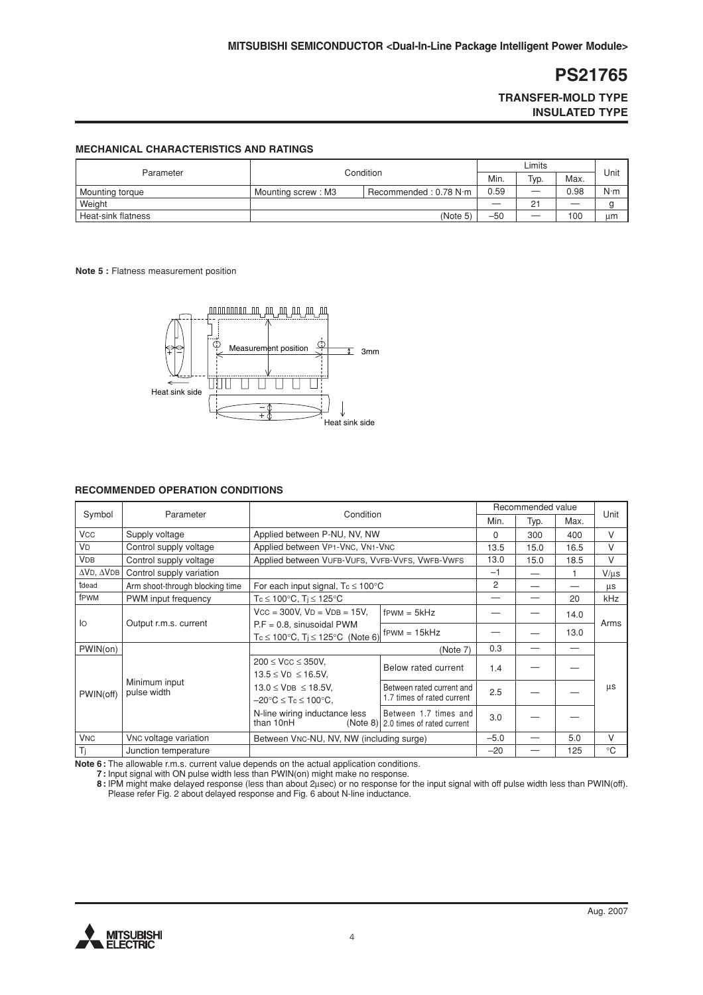**TRANSFER-MOLD TYPE INSULATED TYPE**

#### **MECHANICAL CHARACTERISTICS AND RATINGS**

|                    | Condition                                   |  | Limits |      |      |             |
|--------------------|---------------------------------------------|--|--------|------|------|-------------|
| Parameter          |                                             |  | Min.   | Typ. | Max. | Unit        |
| Mounting torque    | Recommended: 0.78 N·m<br>Mounting screw: M3 |  | 0.59   |      | 0.98 | $N \cdot m$ |
| Weight             |                                             |  |        | 21   | __   |             |
| Heat-sink flatness | (Note 5)                                    |  | $-50$  | __   | 100  | um          |

#### **Note 5 :** Flatness measurement position



#### **RECOMMENDED OPERATION CONDITIONS**

| Symbol<br>Parameter       |                                   |                                                           |                                                                |        | Recommended value |      |             |
|---------------------------|-----------------------------------|-----------------------------------------------------------|----------------------------------------------------------------|--------|-------------------|------|-------------|
|                           |                                   | Condition                                                 |                                                                |        | Typ.              | Max. | Unit        |
| <b>V<sub>CC</sub></b>     | Supply voltage                    | Applied between P-NU, NV, NW                              |                                                                | 0      | 300               | 400  | $\vee$      |
| <b>VD</b>                 | Control supply voltage            | Applied between VP1-VNC, VN1-VNC                          |                                                                | 13.5   | 15.0              | 16.5 | $\vee$      |
| <b>VDB</b>                | Control supply voltage            | Applied between VUFB-VUFS, VVFB-VVFS, VWFB-VWFS           |                                                                | 13.0   | 15.0              | 18.5 | V           |
| $\Delta$ VD, $\Delta$ VDB | Control supply variation          |                                                           |                                                                | $-1$   |                   | 1    | $V/\mu s$   |
| tdead                     | Arm shoot-through blocking time   | For each input signal, $T_c \le 100^{\circ}$ C            |                                                                | 2      |                   |      | μs          |
| fPWM                      | PWM input frequency               | Tc ≤ 100°C, Tj ≤ 125°C                                    |                                                                |        |                   | 20   | kHz         |
|                           | Output r.m.s. current             | $VCC = 300V$ , $VD = VDB = 15V$ ,                         | $f$ PWM = $5kHz$                                               |        |                   | 14.0 |             |
| lo                        |                                   | $P.F = 0.8$ , sinusoidal PWM                              | $F_{\text{FWM}} = 15kHz$                                       |        |                   | 13.0 | Arms        |
|                           |                                   | $T_c \le 100^{\circ}$ C, $T_i \le 125^{\circ}$ C (Note 6) |                                                                |        |                   |      |             |
| PWIN(on)                  |                                   |                                                           | (Note 7)                                                       | 0.3    |                   | —    |             |
|                           |                                   | $200 \leq VCC \leq 350V$ ,                                | Below rated current                                            | 1.4    |                   |      |             |
|                           |                                   | $13.5 \leq V_D \leq 16.5V$ ,                              |                                                                |        |                   |      |             |
| PWIN(off)                 | Minimum input<br>pulse width      | $13.0 \leq VDB \leq 18.5V$ ,                              | Between rated current and                                      | 2.5    |                   |      | μs          |
|                           |                                   | $-20^{\circ}$ C $\leq$ Tc $\leq$ 100 $^{\circ}$ C,        | 1.7 times of rated current                                     |        |                   |      |             |
|                           |                                   | N-line wiring inductance less<br>than 10nH                | Between 1.7 times and<br>$(Note 8)$ 2.0 times of rated current | 3.0    |                   |      |             |
| <b>V<sub>NC</sub></b>     | V <sub>NC</sub> voltage variation | Between VNC-NU, NV, NW (including surge)                  |                                                                | $-5.0$ |                   | 5.0  | $\vee$      |
| Ti                        | Junction temperature              |                                                           |                                                                | $-20$  |                   | 125  | $^{\circ}C$ |
|                           |                                   |                                                           |                                                                |        |                   |      |             |

**Note 6 :** The allowable r.m.s. current value depends on the actual application conditions.

**7 :** Input signal with ON pulse width less than PWIN(on) might make no response.

**8 :** IPM might make delayed response (less than about 2µsec) or no response for the input signal with off pulse width less than PWIN(off). Please refer Fig. 2 about delayed response and Fig. 6 about N-line inductance.

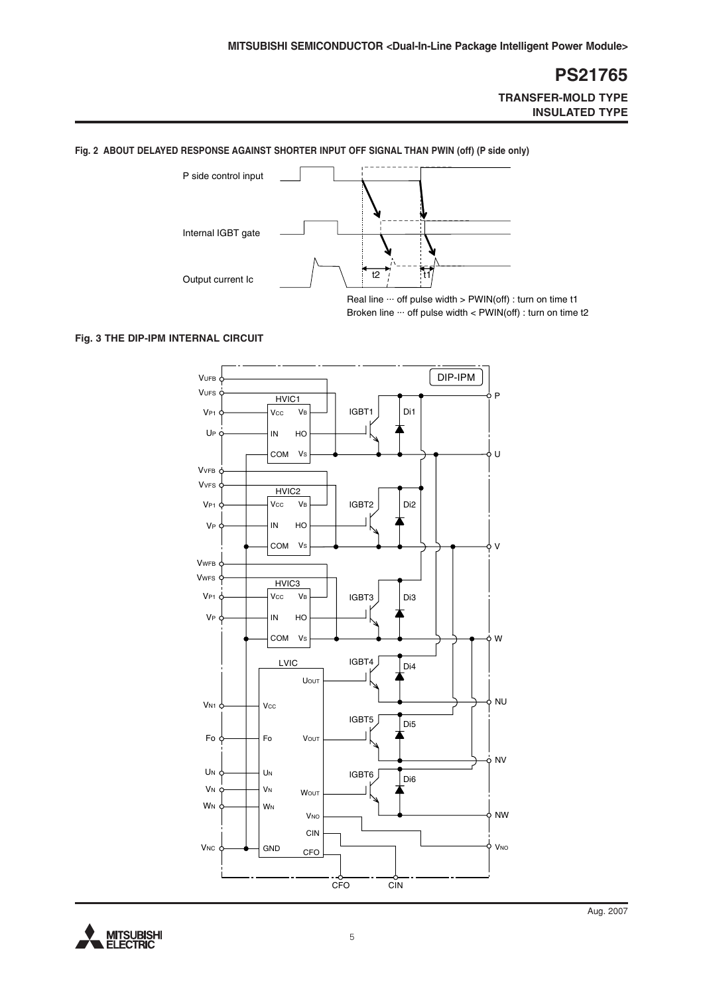### **PS21765 TRANSFER-MOLD TYPE**

**INSULATED TYPE**



**Fig. 2 ABOUT DELAYED RESPONSE AGAINST SHORTER INPUT OFF SIGNAL THAN PWIN (off) (P side only)**

# **Fig. 3 THE DIP-IPM INTERNAL CIRCUIT**



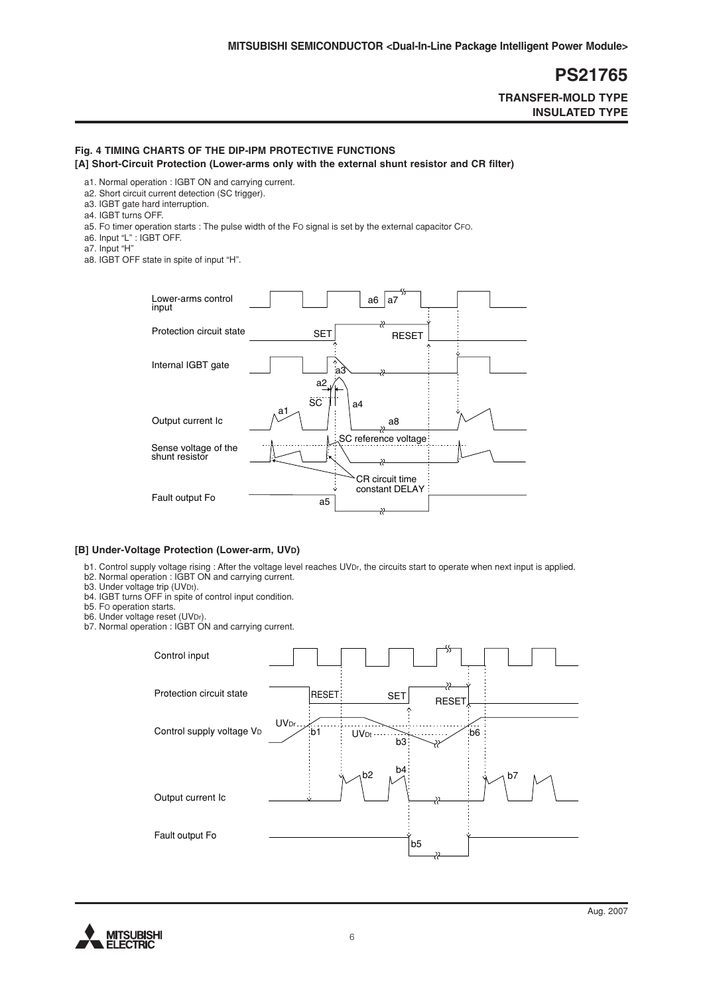**TRANSFER-MOLD TYPE INSULATED TYPE**

### **Fig. 4 TIMING CHARTS OF THE DIP-IPM PROTECTIVE FUNCTIONS**

**[A] Short-Circuit Protection (Lower-arms only with the external shunt resistor and CR filter)**

- a1. Normal operation : IGBT ON and carrying current.
- a2. Short circuit current detection (SC trigger).
- a3. IGBT gate hard interruption.
- a4. IGBT turns OFF.
- a5. FO timer operation starts : The pulse width of the FO signal is set by the external capacitor CFO.
- a6. Input "L" : IGBT OFF.
- a7. Input "H"

a8. IGBT OFF state in spite of input "H".



#### **[B] Under-Voltage Protection (Lower-arm, UVD)**

- b1. Control supply voltage rising : After the voltage level reaches UVDr, the circuits start to operate when next input is applied.
- b2. Normal operation : IGBT ON and carrying current.
- b3. Under voltage trip (UVDt).
- b4. IGBT turns OFF in spite of control input condition.
- b5. FO operation starts.
- b6. Under voltage reset (UVDr).
- b7. Normal operation : IGBT ON and carrying current.



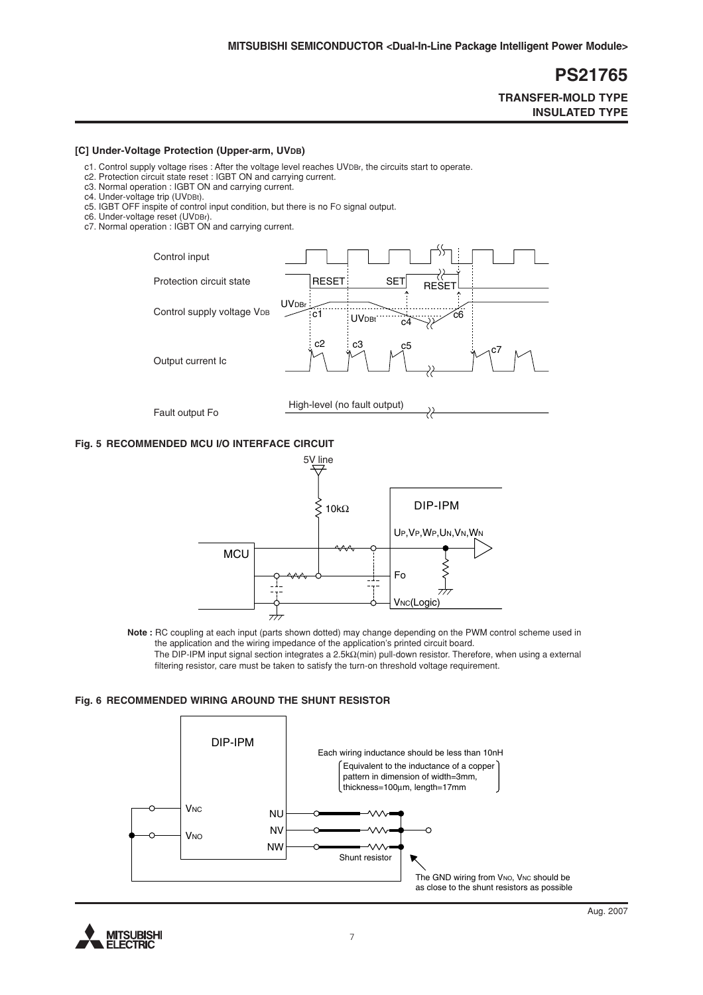**TRANSFER-MOLD TYPE INSULATED TYPE**

#### [C] Under-Voltage Protection (Upper-arm, UVDB)

- c1. Control supply voltage rises : After the voltage level reaches UVDBr, the circuits start to operate.
- c2. Protection circuit state reset : IGBT ON and carrying current.
- c3. Normal operation : IGBT ON and carrying current.
- c4. Under-voltage trip (UVDBt).
- c5. IGBT OFF inspite of control input condition, but there is no FO signal output.
- c6. Under-voltage reset (UVDBr).
- c7. Normal operation : IGBT ON and carrying current.



#### **Fig. 5 RECOMMENDED MCU I/O INTERFACE CIRCUIT**



**Note :** RC coupling at each input (parts shown dotted) may change depending on the PWM control scheme used in the application and the wiring impedance of the application's printed circuit board. The DIP-IPM input signal section integrates a 2.5kΩ(min) pull-down resistor. Therefore, when using a external filtering resistor, care must be taken to satisfy the turn-on threshold voltage requirement.

#### **Fig. 6 RECOMMENDED WIRING AROUND THE SHUNT RESISTOR**